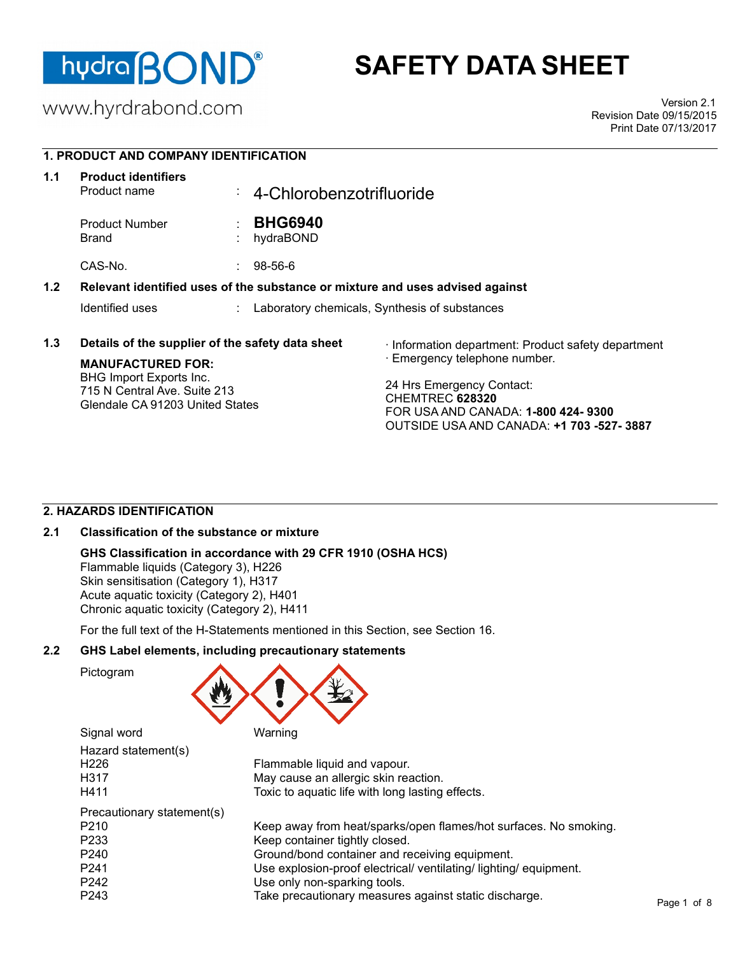

# **SAFETY DATA SHEET**

www.hyrdrabond.com

Version 2.1 Revision Date 09/15/2015 Print Date 07/13/2017

# **1. PRODUCT AND COMPANY IDENTIFICATION**

| 1.1 | <b>Product identifiers</b><br>Product name                                                 | ÷. | 4-Chlorobenzotrifluoride    |                                                                                                                                       |
|-----|--------------------------------------------------------------------------------------------|----|-----------------------------|---------------------------------------------------------------------------------------------------------------------------------------|
|     | <b>Product Number</b><br>Brand                                                             | ÷  | <b>BHG6940</b><br>hydraBOND |                                                                                                                                       |
|     | CAS-No.                                                                                    |    | $98 - 56 - 6$               |                                                                                                                                       |
| 1.2 |                                                                                            |    |                             | Relevant identified uses of the substance or mixture and uses advised against                                                         |
|     | Identified uses                                                                            |    |                             | Laboratory chemicals, Synthesis of substances                                                                                         |
| 1.3 | Details of the supplier of the safety data sheet<br><b>MANUFACTURED FOR:</b>               |    |                             | · Information department: Product safety department<br>· Emergency telephone number.                                                  |
|     | BHG Import Exports Inc.<br>715 N Central Ave. Suite 213<br>Glendale CA 91203 United States |    |                             | 24 Hrs Emergency Contact:<br>CHEMTREC 628320<br>FOR USA AND CANADA: <b>1-800 424-9300</b><br>OUTSIDE USA AND CANADA: +1 703 -527-3887 |

# **2. HAZARDS IDENTIFICATION**

# **2.1 Classification of the substance or mixture**

# **GHS Classification in accordance with 29 CFR 1910 (OSHA HCS)**

Flammable liquids (Category 3), H226 Skin sensitisation (Category 1), H317 Acute aquatic toxicity (Category 2), H401 Chronic aquatic toxicity (Category 2), H411

For the full text of the H-Statements mentioned in this Section, see Section 16.

# **2.2 GHS Label elements, including precautionary statements**

Pictogram



| Signal word                | Warning                                                           |
|----------------------------|-------------------------------------------------------------------|
| Hazard statement(s)        |                                                                   |
| H226                       | Flammable liquid and vapour.                                      |
| H317                       | May cause an allergic skin reaction.                              |
| H411                       | Toxic to aquatic life with long lasting effects.                  |
| Precautionary statement(s) |                                                                   |
| P210                       | Keep away from heat/sparks/open flames/hot surfaces. No smoking.  |
| P233                       | Keep container tightly closed.                                    |
| P240                       | Ground/bond container and receiving equipment.                    |
| P241                       | Use explosion-proof electrical/ ventilating/ lighting/ equipment. |
| P242                       | Use only non-sparking tools.                                      |
| P243                       | Take precautionary measures against static discharge.             |
|                            |                                                                   |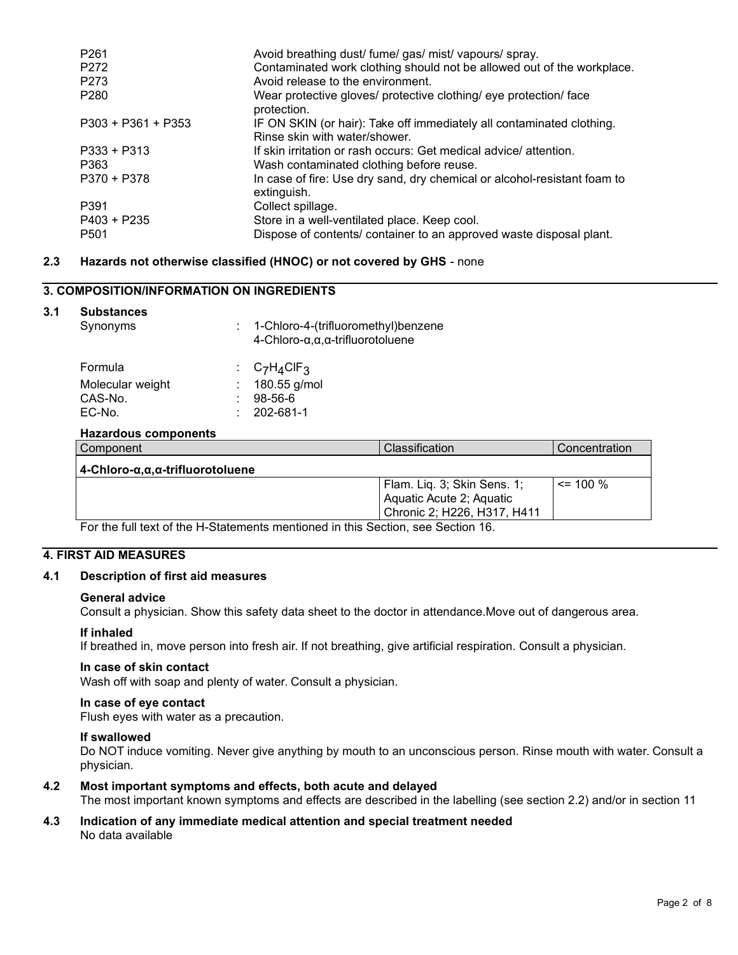| P <sub>261</sub>     | Avoid breathing dust/ fume/ gas/ mist/ vapours/ spray.                                                 |
|----------------------|--------------------------------------------------------------------------------------------------------|
| P272                 | Contaminated work clothing should not be allowed out of the workplace.                                 |
| P <sub>273</sub>     | Avoid release to the environment.                                                                      |
| P <sub>280</sub>     | Wear protective gloves/ protective clothing/ eye protection/ face<br>protection.                       |
| $P303 + P361 + P353$ | IF ON SKIN (or hair): Take off immediately all contaminated clothing.<br>Rinse skin with water/shower. |
| $P333 + P313$        | If skin irritation or rash occurs: Get medical advice/ attention.                                      |
| P363                 | Wash contaminated clothing before reuse.                                                               |
| P370 + P378          | In case of fire: Use dry sand, dry chemical or alcohol-resistant foam to<br>extinguish.                |
| P391                 | Collect spillage.                                                                                      |
| P403 + P235          | Store in a well-ventilated place. Keep cool.                                                           |
| P <sub>501</sub>     | Dispose of contents/ container to an approved waste disposal plant.                                    |

## **2.3 Hazards not otherwise classified (HNOC) or not covered by GHS** - none

# **3. COMPOSITION/INFORMATION ON INGREDIENTS**

#### **3.1 Substances**

| Synonyms                                                |  | 1-Chloro-4-(trifluoromethyl)benzene<br>$4$ -Chloro- $\alpha, \alpha, \alpha$ -trifluorotoluene |                |  |
|---------------------------------------------------------|--|------------------------------------------------------------------------------------------------|----------------|--|
| Formula<br>Molecular weight<br>CAS-No.                  |  | $C_7H_4CIF_3$<br>180.55 g/mol<br>$98 - 56 - 6$                                                 |                |  |
| EC-No.<br><b>Hazardous components</b>                   |  | 202-681-1                                                                                      |                |  |
| Component                                               |  |                                                                                                | Classification |  |
| $4$ -Chloro- $\alpha, \alpha, \alpha$ -trifluorotoluene |  |                                                                                                |                |  |

| $4$ -Chloro- $\alpha, \alpha, \alpha$ -trifluorotoluene                         |                             |              |
|---------------------------------------------------------------------------------|-----------------------------|--------------|
|                                                                                 | Flam. Liq. 3; Skin Sens. 1; | $\leq$ 100 % |
|                                                                                 | Aquatic Acute 2; Aquatic    |              |
|                                                                                 | Chronic 2; H226, H317, H411 |              |
| Fartha full tout of the H. Ctotements mentioned in this Cention, eas Contian 16 |                             |              |

For the full text of the H-Statements mentioned in this Section, see Section 16.

#### **4. FIRST AID MEASURES**

#### **4.1 Description of first aid measures**

#### **General advice**

Consult a physician. Show this safety data sheet to the doctor in attendance.Move out of dangerous area.

# **If inhaled**

If breathed in, move person into fresh air. If not breathing, give artificial respiration. Consult a physician.

#### **In case of skin contact**

Wash off with soap and plenty of water. Consult a physician.

#### **In case of eye contact**

Flush eyes with water as a precaution.

#### **If swallowed**

Do NOT induce vomiting. Never give anything by mouth to an unconscious person. Rinse mouth with water. Consult a physician.

#### **4.2 Most important symptoms and effects, both acute and delayed**

The most important known symptoms and effects are described in the labelling (see section 2.2) and/or in section 11

#### **4.3 Indication of any immediate medical attention and special treatment needed**  No data available

**Concentration**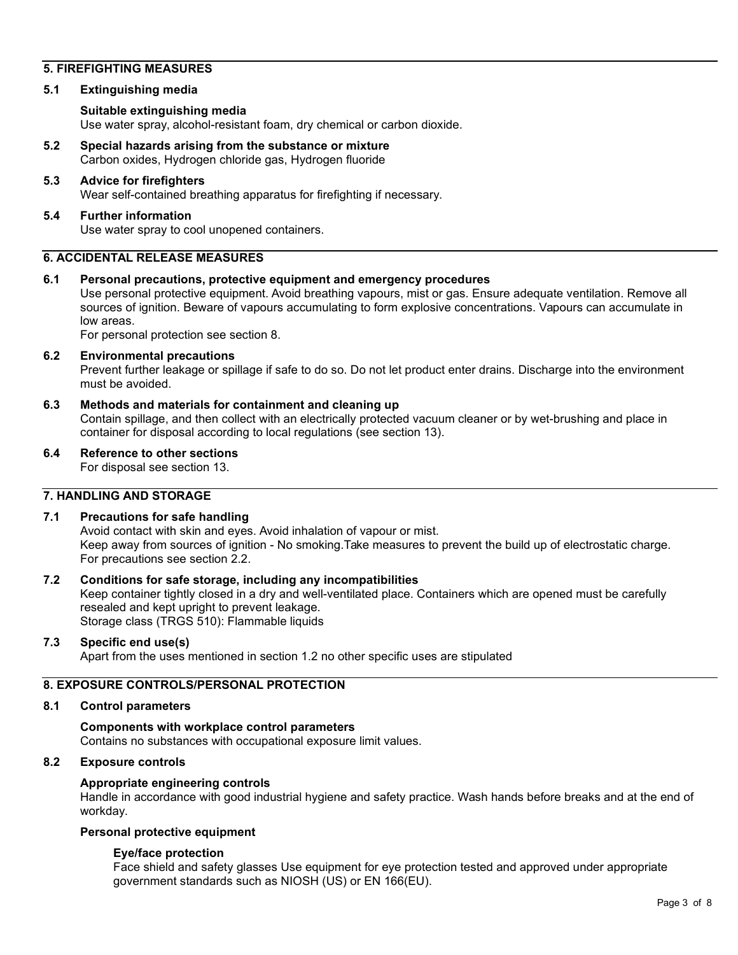## **5. FIREFIGHTING MEASURES**

#### **5.1 Extinguishing media**

#### **Suitable extinguishing media**

Use water spray, alcohol-resistant foam, dry chemical or carbon dioxide.

**5.2 Special hazards arising from the substance or mixture**  Carbon oxides, Hydrogen chloride gas, Hydrogen fluoride

# **5.3 Advice for firefighters**

Wear self-contained breathing apparatus for firefighting if necessary.

#### **5.4 Further information**  Use water spray to cool unopened containers.

#### **6. ACCIDENTAL RELEASE MEASURES**

#### **6.1 Personal precautions, protective equipment and emergency procedures**

Use personal protective equipment. Avoid breathing vapours, mist or gas. Ensure adequate ventilation. Remove all sources of ignition. Beware of vapours accumulating to form explosive concentrations. Vapours can accumulate in low areas.

For personal protection see section 8.

#### **6.2 Environmental precautions**

Prevent further leakage or spillage if safe to do so. Do not let product enter drains. Discharge into the environment must be avoided.

#### **6.3 Methods and materials for containment and cleaning up**

Contain spillage, and then collect with an electrically protected vacuum cleaner or by wet-brushing and place in container for disposal according to local regulations (see section 13).

# **6.4 Reference to other sections**

For disposal see section 13.

#### **7. HANDLING AND STORAGE**

# **7.1 Precautions for safe handling**

Avoid contact with skin and eyes. Avoid inhalation of vapour or mist. Keep away from sources of ignition - No smoking.Take measures to prevent the build up of electrostatic charge. For precautions see section 2.2.

#### **7.2 Conditions for safe storage, including any incompatibilities**

Keep container tightly closed in a dry and well-ventilated place. Containers which are opened must be carefully resealed and kept upright to prevent leakage. Storage class (TRGS 510): Flammable liquids

#### **7.3 Specific end use(s)**

Apart from the uses mentioned in section 1.2 no other specific uses are stipulated

## **8. EXPOSURE CONTROLS/PERSONAL PROTECTION**

#### **8.1 Control parameters**

**Components with workplace control parameters**  Contains no substances with occupational exposure limit values.

# **8.2 Exposure controls**

#### **Appropriate engineering controls**

Handle in accordance with good industrial hygiene and safety practice. Wash hands before breaks and at the end of workday.

# **Personal protective equipment**

#### **Eye/face protection**

Face shield and safety glasses Use equipment for eye protection tested and approved under appropriate government standards such as NIOSH (US) or EN 166(EU).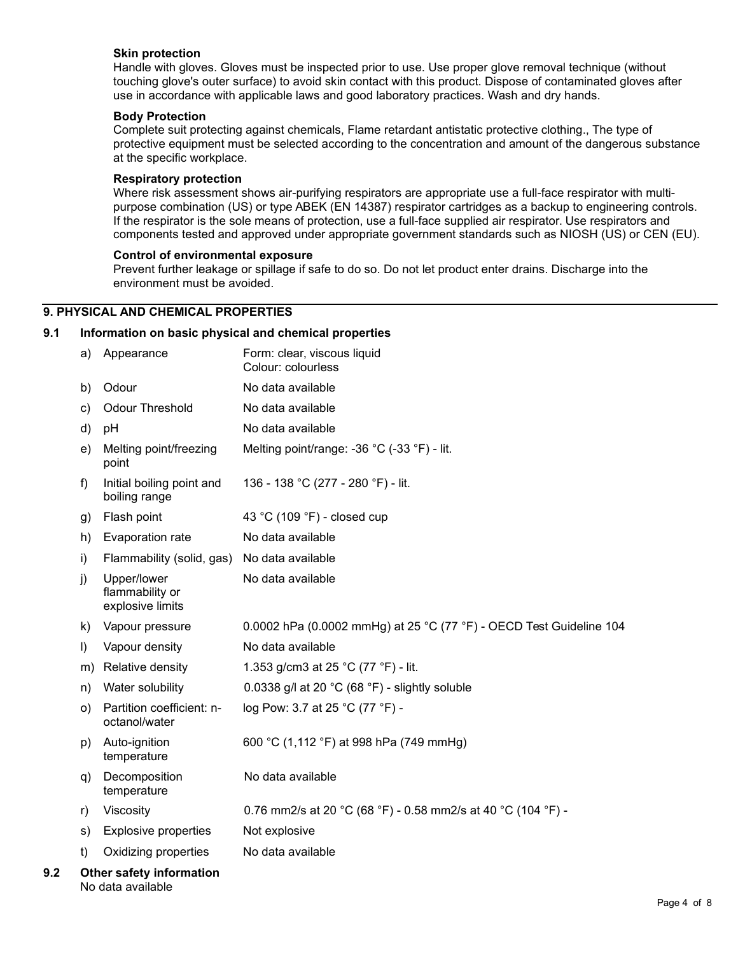#### **Skin protection**

Handle with gloves. Gloves must be inspected prior to use. Use proper glove removal technique (without touching glove's outer surface) to avoid skin contact with this product. Dispose of contaminated gloves after use in accordance with applicable laws and good laboratory practices. Wash and dry hands.

#### **Body Protection**

Complete suit protecting against chemicals, Flame retardant antistatic protective clothing., The type of protective equipment must be selected according to the concentration and amount of the dangerous substance at the specific workplace.

#### **Respiratory protection**

Where risk assessment shows air-purifying respirators are appropriate use a full-face respirator with multipurpose combination (US) or type ABEK (EN 14387) respirator cartridges as a backup to engineering controls. If the respirator is the sole means of protection, use a full-face supplied air respirator. Use respirators and components tested and approved under appropriate government standards such as NIOSH (US) or CEN (EU).

# **Control of environmental exposure**

Prevent further leakage or spillage if safe to do so. Do not let product enter drains. Discharge into the environment must be avoided.

# **9. PHYSICAL AND CHEMICAL PROPERTIES**

#### **9.1 Information on basic physical and chemical properties**

|     | a)        | Appearance                                         | Form: clear, viscous liquid<br>Colour: colourless                   |
|-----|-----------|----------------------------------------------------|---------------------------------------------------------------------|
|     | b)        | Odour                                              | No data available                                                   |
|     | c)        | Odour Threshold                                    | No data available                                                   |
|     | d)        | pH                                                 | No data available                                                   |
|     | e)        | Melting point/freezing<br>point                    | Melting point/range: -36 °C (-33 °F) - lit.                         |
|     | f)        | Initial boiling point and<br>boiling range         | 136 - 138 °C (277 - 280 °F) - lit.                                  |
|     | g)        | Flash point                                        | 43 °C (109 °F) - closed cup                                         |
|     | h)        | Evaporation rate                                   | No data available                                                   |
|     | i)        | Flammability (solid, gas)                          | No data available                                                   |
|     | j)        | Upper/lower<br>flammability or<br>explosive limits | No data available                                                   |
|     | k)        | Vapour pressure                                    | 0.0002 hPa (0.0002 mmHg) at 25 °C (77 °F) - OECD Test Guideline 104 |
|     | $\vert$ ) | Vapour density                                     | No data available                                                   |
|     | m)        | Relative density                                   | 1.353 g/cm3 at 25 °C (77 °F) - lit.                                 |
|     | n)        | Water solubility                                   | 0.0338 g/l at 20 $^{\circ}$ C (68 $^{\circ}$ F) - slightly soluble  |
|     | O)        | Partition coefficient: n-<br>octanol/water         | log Pow: 3.7 at 25 °C (77 °F) -                                     |
|     | p)        | Auto-ignition<br>temperature                       | 600 °C (1,112 °F) at 998 hPa (749 mmHg)                             |
|     | q)        | Decomposition<br>temperature                       | No data available                                                   |
|     | r)        | Viscosity                                          | 0.76 mm2/s at 20 °C (68 °F) - 0.58 mm2/s at 40 °C (104 °F) -        |
|     | s)        | <b>Explosive properties</b>                        | Not explosive                                                       |
|     | t)        | Oxidizing properties                               | No data available                                                   |
| 9.2 |           | Other safety information                           |                                                                     |

No data available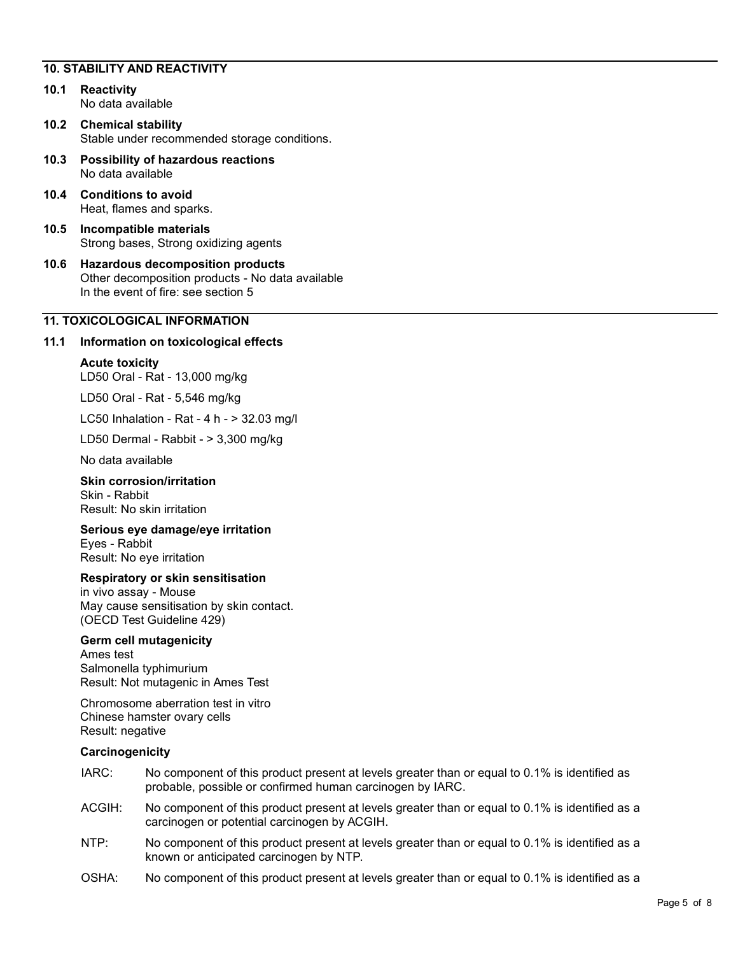## **10. STABILITY AND REACTIVITY**

- **10.1 Reactivity**  No data available
- **10.2 Chemical stability**  Stable under recommended storage conditions.
- **10.3 Possibility of hazardous reactions**  No data available
- **10.4 Conditions to avoid**  Heat, flames and sparks.
- **10.5 Incompatible materials**  Strong bases, Strong oxidizing agents
- **10.6 Hazardous decomposition products**  Other decomposition products - No data available In the event of fire: see section 5

# **11. TOXICOLOGICAL INFORMATION**

## **11.1 Information on toxicological effects**

#### **Acute toxicity**

LD50 Oral - Rat - 13,000 mg/kg

LD50 Oral - Rat - 5,546 mg/kg

LC50 Inhalation - Rat - 4 h - > 32.03 mg/l

LD50 Dermal - Rabbit - > 3,300 mg/kg

No data available

# **Skin corrosion/irritation**  Skin - Rabbit

Result: No skin irritation

## **Serious eye damage/eye irritation**

Eyes - Rabbit Result: No eye irritation

#### **Respiratory or skin sensitisation**

in vivo assay - Mouse May cause sensitisation by skin contact. (OECD Test Guideline 429)

#### **Germ cell mutagenicity**

Ames test Salmonella typhimurium Result: Not mutagenic in Ames Test

Chromosome aberration test in vitro Chinese hamster ovary cells Result: negative

#### **Carcinogenicity**

- IARC: No component of this product present at levels greater than or equal to 0.1% is identified as probable, possible or confirmed human carcinogen by IARC.
- ACGIH: No component of this product present at levels greater than or equal to 0.1% is identified as a carcinogen or potential carcinogen by ACGIH.
- NTP: No component of this product present at levels greater than or equal to 0.1% is identified as a known or anticipated carcinogen by NTP.
- OSHA: No component of this product present at levels greater than or equal to 0.1% is identified as a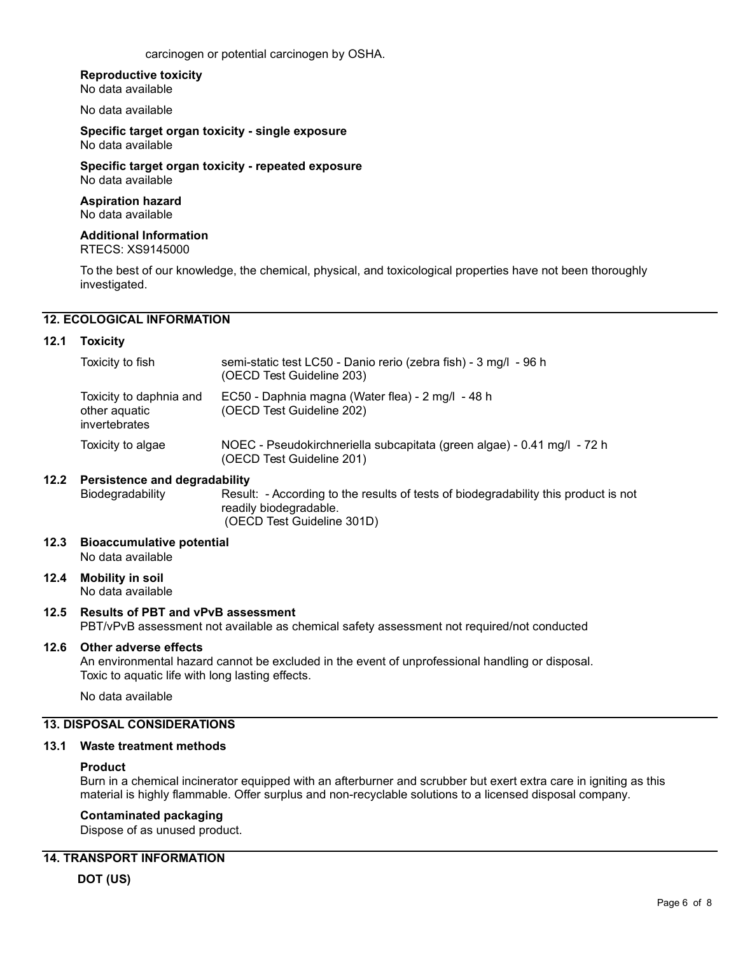carcinogen or potential carcinogen by OSHA.

#### **Reproductive toxicity**

No data available

No data available

**Specific target organ toxicity - single exposure**  No data available

**Specific target organ toxicity - repeated exposure**  No data available

#### **Aspiration hazard**  No data available

**Additional Information** 

RTECS: XS9145000

To the best of our knowledge, the chemical, physical, and toxicological properties have not been thoroughly investigated.

# **12. ECOLOGICAL INFORMATION**

#### **12.1 Toxicity**

| Toxicity to fish                                          | semi-static test LC50 - Danio rerio (zebra fish) - 3 mg/l - 96 h<br>(OECD Test Guideline 203)        |
|-----------------------------------------------------------|------------------------------------------------------------------------------------------------------|
| Toxicity to daphnia and<br>other aquatic<br>invertebrates | EC50 - Daphnia magna (Water flea) - 2 mg/l - 48 h<br>(OECD Test Guideline 202)                       |
| Toxicity to algae                                         | NOEC - Pseudokirchneriella subcapitata (green algae) - 0.41 mg/l - 72 h<br>(OECD Test Guideline 201) |

#### **12.2 Persistence and degradability**

Biodegradability Result: - According to the results of tests of biodegradability this product is not readily biodegradable. (OECD Test Guideline 301D)

**12.3 Bioaccumulative potential**  No data available

# **12.4 Mobility in soil**

No data available

#### **12.5 Results of PBT and vPvB assessment**

PBT/vPvB assessment not available as chemical safety assessment not required/not conducted

#### **12.6 Other adverse effects**

An environmental hazard cannot be excluded in the event of unprofessional handling or disposal. Toxic to aquatic life with long lasting effects.

No data available

# **13. DISPOSAL CONSIDERATIONS**

#### **13.1 Waste treatment methods**

#### **Product**

Burn in a chemical incinerator equipped with an afterburner and scrubber but exert extra care in igniting as this material is highly flammable. Offer surplus and non-recyclable solutions to a licensed disposal company.

#### **Contaminated packaging**

Dispose of as unused product.

#### **14. TRANSPORT INFORMATION**

**DOT (US)**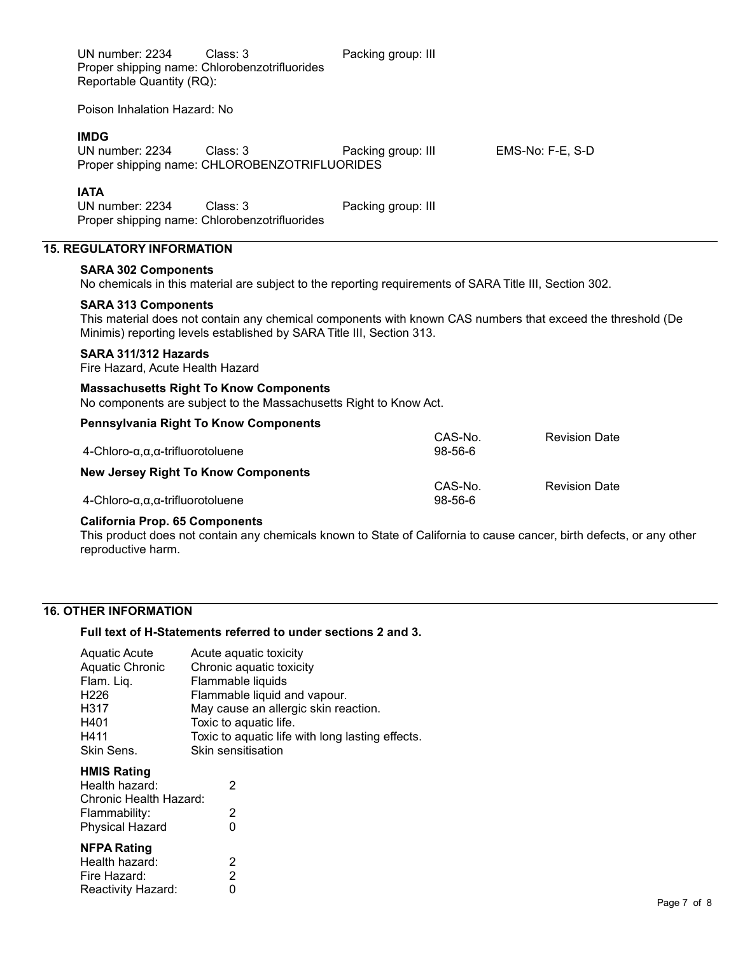| UN number: 2234<br>Reportable Quantity (RQ):                                                                                                                                                                       | Class: 3<br>Proper shipping name: Chlorobenzotrifluorides                                                          | Packing group: III |                    |                      |  |
|--------------------------------------------------------------------------------------------------------------------------------------------------------------------------------------------------------------------|--------------------------------------------------------------------------------------------------------------------|--------------------|--------------------|----------------------|--|
| Poison Inhalation Hazard: No                                                                                                                                                                                       |                                                                                                                    |                    |                    |                      |  |
| <b>IMDG</b><br>UN number: 2234                                                                                                                                                                                     | Class: 3<br>Proper shipping name: CHLOROBENZOTRIFLUORIDES                                                          | Packing group: III |                    | EMS-No: F-E, S-D     |  |
| <b>IATA</b><br>UN number: 2234                                                                                                                                                                                     | Class: 3<br>Proper shipping name: Chlorobenzotrifluorides                                                          | Packing group: III |                    |                      |  |
| <b>15. REGULATORY INFORMATION</b>                                                                                                                                                                                  |                                                                                                                    |                    |                    |                      |  |
| <b>SARA 302 Components</b><br>No chemicals in this material are subject to the reporting requirements of SARA Title III, Section 302.                                                                              |                                                                                                                    |                    |                    |                      |  |
| <b>SARA 313 Components</b><br>This material does not contain any chemical components with known CAS numbers that exceed the threshold (De<br>Minimis) reporting levels established by SARA Title III, Section 313. |                                                                                                                    |                    |                    |                      |  |
| SARA 311/312 Hazards<br>Fire Hazard, Acute Health Hazard                                                                                                                                                           |                                                                                                                    |                    |                    |                      |  |
|                                                                                                                                                                                                                    | <b>Massachusetts Right To Know Components</b><br>No components are subject to the Massachusetts Right to Know Act. |                    |                    |                      |  |
|                                                                                                                                                                                                                    | <b>Pennsylvania Right To Know Components</b>                                                                       |                    |                    |                      |  |
| $4$ -Chloro- $\alpha, \alpha, \alpha$ -trifluorotoluene                                                                                                                                                            |                                                                                                                    |                    | CAS-No.<br>98-56-6 | <b>Revision Date</b> |  |
| <b>New Jersey Right To Know Components</b>                                                                                                                                                                         |                                                                                                                    |                    | CAS-No.            | <b>Revision Date</b> |  |
| $4$ -Chloro- $\alpha, \alpha, \alpha$ -trifluorotoluene                                                                                                                                                            |                                                                                                                    |                    | 98-56-6            |                      |  |
| California Pron 65 Components                                                                                                                                                                                      |                                                                                                                    |                    |                    |                      |  |

# **California Prop. 65 Components**

This product does not contain any chemicals known to State of California to cause cancer, birth defects, or any other reproductive harm.

# **16. OTHER INFORMATION**

# **Full text of H-Statements referred to under sections 2 and 3.**

| <b>Aquatic Acute</b>   | Acute aquatic toxicity                           |
|------------------------|--------------------------------------------------|
| <b>Aquatic Chronic</b> | Chronic aquatic toxicity                         |
| Flam. Liq.             | Flammable liquids                                |
| H <sub>226</sub>       | Flammable liquid and vapour.                     |
| H317                   | May cause an allergic skin reaction.             |
| H401                   | Toxic to aquatic life.                           |
| H411                   | Toxic to aquatic life with long lasting effects. |
| Skin Sens.             | Skin sensitisation                               |

# **HMIS Rating**

| Health hazard:         | 2 |
|------------------------|---|
| Chronic Health Hazard: |   |
| Flammability:          | 2 |
| <b>Physical Hazard</b> | 0 |
| <b>NFPA Rating</b>     |   |
| Health hazard:         | 2 |
| Fire Hazard:           | 2 |

Reactivity Hazard: 0